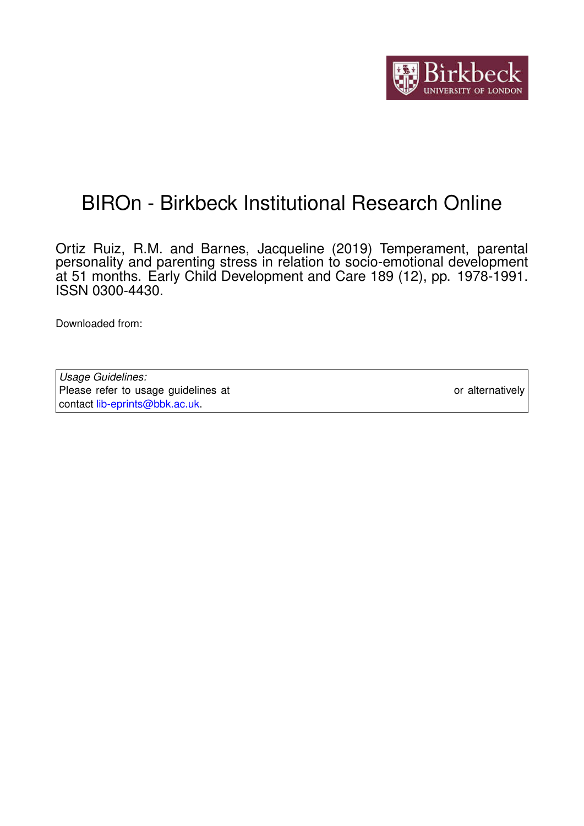

# BIROn - Birkbeck Institutional Research Online

Ortiz Ruiz, R.M. and Barnes, Jacqueline (2019) Temperament, parental personality and parenting stress in relation to socio-emotional development at 51 months. Early Child Development and Care 189 (12), pp. 1978-1991. ISSN 0300-4430.

Downloaded from: <https://eprints.bbk.ac.uk/id/eprint/20837/>

*Usage Guidelines:* Please refer to usage guidelines at <https://eprints.bbk.ac.uk/policies.html> or alternatively contact [lib-eprints@bbk.ac.uk.](mailto:lib-eprints@bbk.ac.uk)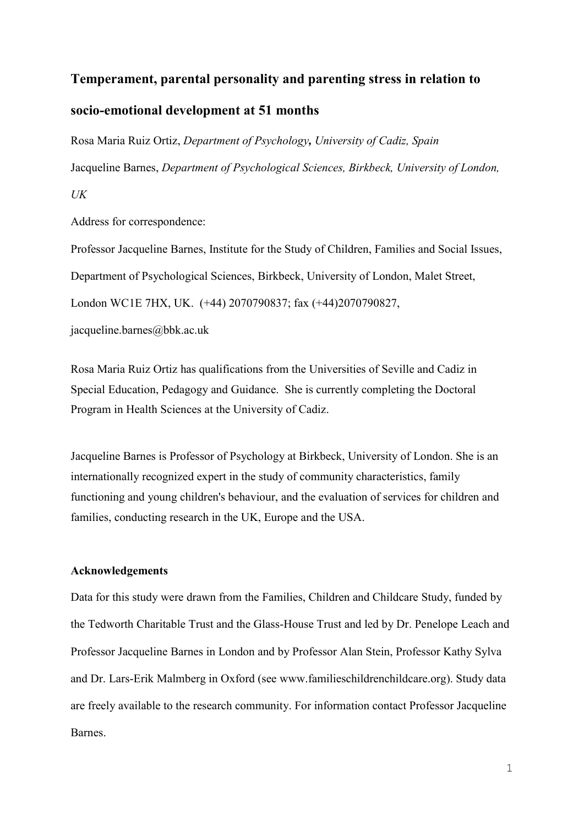# **Temperament, parental personality and parenting stress in relation to socio-emotional development at 51 months**

Rosa Maria Ruiz Ortiz, *Department of Psychology, University of Cadiz, Spain* Jacqueline Barnes, *Department of Psychological Sciences, Birkbeck, University of London, UK*

Address for correspondence:

Professor Jacqueline Barnes, Institute for the Study of Children, Families and Social Issues, Department of Psychological Sciences, Birkbeck, University of London, Malet Street, London WC1E 7HX, UK. (+44) 2070790837; fax (+44)2070790827,

jacqueline.barnes@bbk.ac.uk

Rosa Maria Ruiz Ortiz has qualifications from the Universities of Seville and Cadiz in Special Education, Pedagogy and Guidance. She is currently completing the Doctoral Program in Health Sciences at the University of Cadiz.

Jacqueline Barnes is Professor of Psychology at Birkbeck, University of London. She is an internationally recognized expert in the study of community characteristics, family functioning and young children's behaviour, and the evaluation of services for children and families, conducting research in the UK, Europe and the USA.

# **Acknowledgements**

Data for this study were drawn from the Families, Children and Childcare Study, funded by the Tedworth Charitable Trust and the Glass-House Trust and led by Dr. Penelope Leach and Professor Jacqueline Barnes in London and by Professor Alan Stein, Professor Kathy Sylva and Dr. Lars-Erik Malmberg in Oxford (see www.familieschildrenchildcare.org). Study data are freely available to the research community. For information contact Professor Jacqueline Barnes.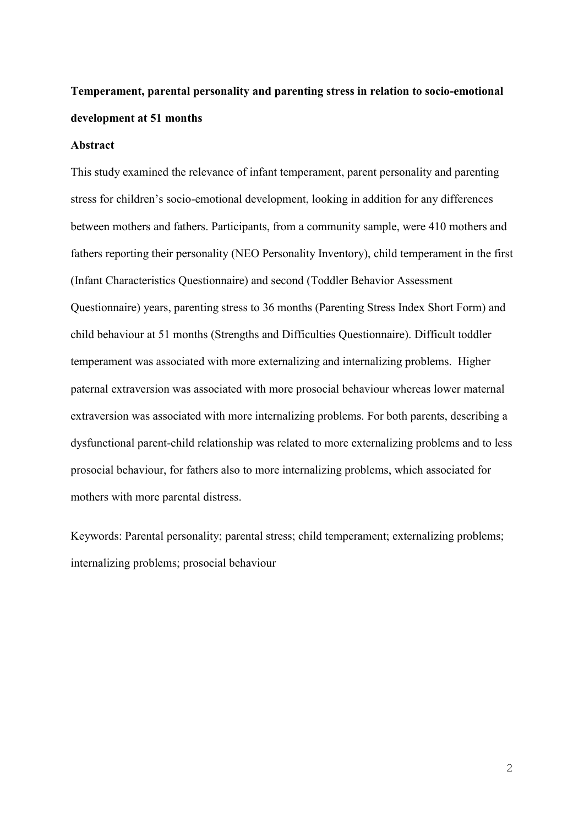# **Temperament, parental personality and parenting stress in relation to socio-emotional development at 51 months**

# **Abstract**

This study examined the relevance of infant temperament, parent personality and parenting stress for children's socio-emotional development, looking in addition for any differences between mothers and fathers. Participants, from a community sample, were 410 mothers and fathers reporting their personality (NEO Personality Inventory), child temperament in the first (Infant Characteristics Questionnaire) and second (Toddler Behavior Assessment Questionnaire) years, parenting stress to 36 months (Parenting Stress Index Short Form) and child behaviour at 51 months (Strengths and Difficulties Questionnaire). Difficult toddler temperament was associated with more externalizing and internalizing problems. Higher paternal extraversion was associated with more prosocial behaviour whereas lower maternal extraversion was associated with more internalizing problems. For both parents, describing a dysfunctional parent-child relationship was related to more externalizing problems and to less prosocial behaviour, for fathers also to more internalizing problems, which associated for mothers with more parental distress.

Keywords: Parental personality; parental stress; child temperament; externalizing problems; internalizing problems; prosocial behaviour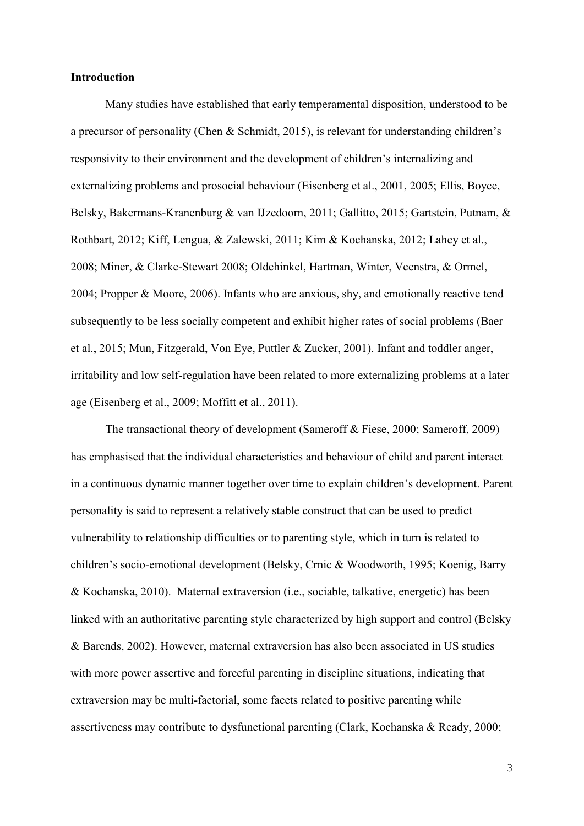#### **Introduction**

Many studies have established that early temperamental disposition, understood to be a precursor of personality (Chen & Schmidt, 2015), is relevant for understanding children's responsivity to their environment and the development of children's internalizing and externalizing problems and prosocial behaviour (Eisenberg et al., 2001, 2005; Ellis, Boyce, Belsky, Bakermans-Kranenburg & van IJzedoorn, 2011; Gallitto, 2015; Gartstein, Putnam, & Rothbart, 2012; Kiff, Lengua, & Zalewski, 2011; Kim & Kochanska, 2012; Lahey et al., 2008; Miner, & Clarke-Stewart 2008; Oldehinkel, Hartman, Winter, Veenstra, & Ormel, 2004; Propper & Moore, 2006). Infants who are anxious, shy, and emotionally reactive tend subsequently to be less socially competent and exhibit higher rates of social problems (Baer et al., 2015; Mun, Fitzgerald, Von Eye, Puttler & Zucker, 2001). Infant and toddler anger, irritability and low self-regulation have been related to more externalizing problems at a later age (Eisenberg et al., 2009; Moffitt et al., 2011).

The transactional theory of development (Sameroff & Fiese, 2000; Sameroff, 2009) has emphasised that the individual characteristics and behaviour of child and parent interact in a continuous dynamic manner together over time to explain children's development. Parent personality is said to represent a relatively stable construct that can be used to predict vulnerability to relationship difficulties or to parenting style, which in turn is related to children's socio-emotional development (Belsky, Crnic & Woodworth, 1995; Koenig, Barry & Kochanska, 2010). Maternal extraversion (i.e., sociable, talkative, energetic) has been linked with an authoritative parenting style characterized by high support and control (Belsky & Barends, 2002). However, maternal extraversion has also been associated in US studies with more power assertive and forceful parenting in discipline situations, indicating that extraversion may be multi-factorial, some facets related to positive parenting while assertiveness may contribute to dysfunctional parenting (Clark, Kochanska & Ready, 2000;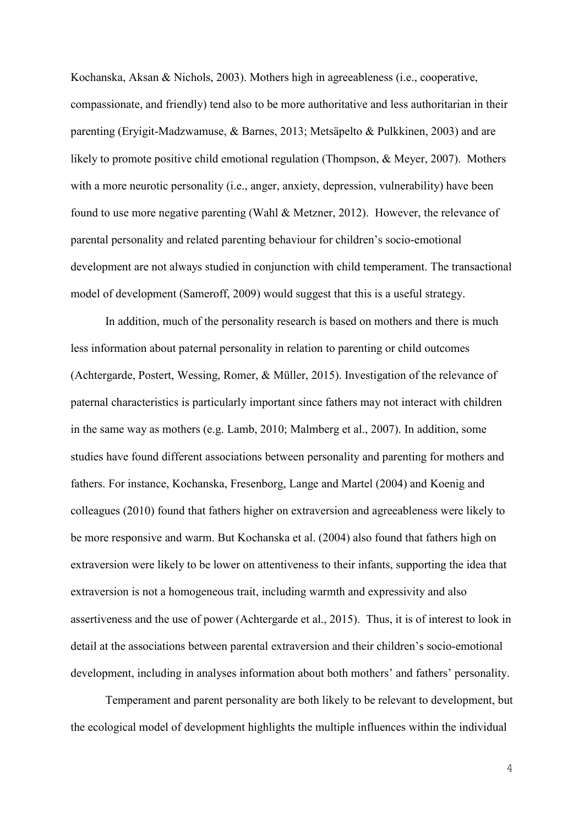Kochanska, Aksan & Nichols, 2003). Mothers high in agreeableness (i.e., cooperative, compassionate, and friendly) tend also to be more authoritative and less authoritarian in their parenting (Eryigit-Madzwamuse, & Barnes, 2013; Metsäpelto & Pulkkinen, 2003) and are likely to promote positive child emotional regulation (Thompson, & Meyer, 2007). Mothers with a more neurotic personality (i.e., anger, anxiety, depression, vulnerability) have been found to use more negative parenting (Wahl & Metzner, 2012). However, the relevance of parental personality and related parenting behaviour for children's socio-emotional development are not always studied in conjunction with child temperament. The transactional model of development (Sameroff, 2009) would suggest that this is a useful strategy.

In addition, much of the personality research is based on mothers and there is much less information about paternal personality in relation to parenting or child outcomes (Achtergarde, Postert, Wessing, Romer, & Müller, 2015). Investigation of the relevance of paternal characteristics is particularly important since fathers may not interact with children in the same way as mothers (e.g. Lamb, 2010; Malmberg et al., 2007). In addition, some studies have found different associations between personality and parenting for mothers and fathers. For instance, Kochanska, Fresenborg, Lange and Martel (2004) and Koenig and colleagues (2010) found that fathers higher on extraversion and agreeableness were likely to be more responsive and warm. But Kochanska et al. (2004) also found that fathers high on extraversion were likely to be lower on attentiveness to their infants, supporting the idea that extraversion is not a homogeneous trait, including warmth and expressivity and also assertiveness and the use of power (Achtergarde et al., 2015). Thus, it is of interest to look in detail at the associations between parental extraversion and their children's socio-emotional development, including in analyses information about both mothers' and fathers' personality.

Temperament and parent personality are both likely to be relevant to development, but the ecological model of development highlights the multiple influences within the individual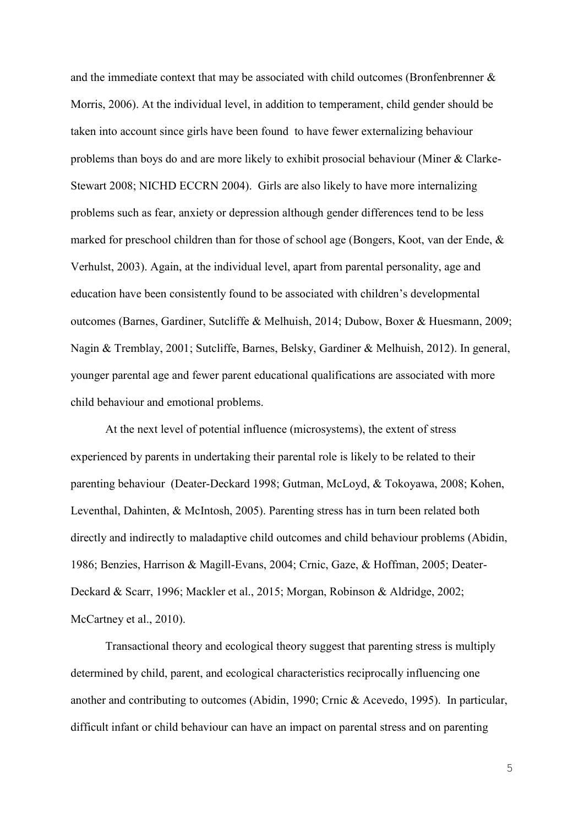and the immediate context that may be associated with child outcomes (Bronfenbrenner  $\&$ Morris, 2006). At the individual level, in addition to temperament, child gender should be taken into account since girls have been found to have fewer externalizing behaviour problems than boys do and are more likely to exhibit prosocial behaviour (Miner & Clarke-Stewart 2008; NICHD ECCRN 2004). Girls are also likely to have more internalizing problems such as fear, anxiety or depression although gender differences tend to be less marked for preschool children than for those of school age (Bongers, Koot, van der Ende, & Verhulst, 2003). Again, at the individual level, apart from parental personality, age and education have been consistently found to be associated with children's developmental outcomes (Barnes, Gardiner, Sutcliffe & Melhuish, 2014; Dubow, Boxer & Huesmann, 2009; Nagin & Tremblay, 2001; Sutcliffe, Barnes, Belsky, Gardiner & Melhuish, 2012). In general, younger parental age and fewer parent educational qualifications are associated with more child behaviour and emotional problems.

At the next level of potential influence (microsystems), the extent of stress experienced by parents in undertaking their parental role is likely to be related to their parenting behaviour (Deater-Deckard 1998; Gutman, McLoyd, & Tokoyawa, 2008; Kohen, Leventhal, Dahinten, & McIntosh, 2005). Parenting stress has in turn been related both directly and indirectly to maladaptive child outcomes and child behaviour problems (Abidin, 1986; Benzies, Harrison & Magill-Evans, 2004; Crnic, Gaze, & Hoffman, 2005; Deater-Deckard & Scarr, 1996; Mackler et al., 2015; Morgan, Robinson & Aldridge, 2002; McCartney et al., 2010).

Transactional theory and ecological theory suggest that parenting stress is multiply determined by child, parent, and ecological characteristics reciprocally influencing one another and contributing to outcomes (Abidin, 1990; Crnic & Acevedo, 1995). In particular, difficult infant or child behaviour can have an impact on parental stress and on parenting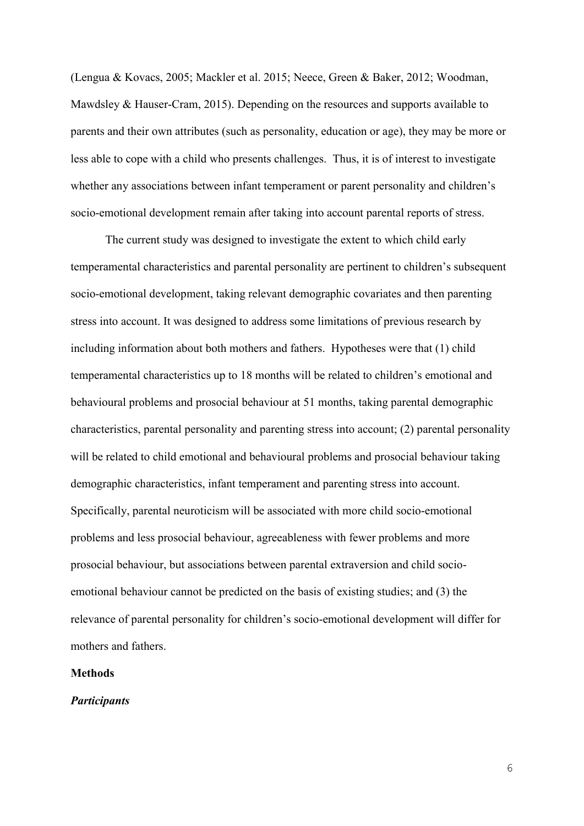(Lengua & Kovacs, 2005; Mackler et al. 2015; Neece, Green & Baker, 2012; Woodman, Mawdsley & Hauser-Cram, 2015). Depending on the resources and supports available to parents and their own attributes (such as personality, education or age), they may be more or less able to cope with a child who presents challenges. Thus, it is of interest to investigate whether any associations between infant temperament or parent personality and children's socio-emotional development remain after taking into account parental reports of stress.

The current study was designed to investigate the extent to which child early temperamental characteristics and parental personality are pertinent to children's subsequent socio-emotional development, taking relevant demographic covariates and then parenting stress into account. It was designed to address some limitations of previous research by including information about both mothers and fathers. Hypotheses were that (1) child temperamental characteristics up to 18 months will be related to children's emotional and behavioural problems and prosocial behaviour at 51 months, taking parental demographic characteristics, parental personality and parenting stress into account; (2) parental personality will be related to child emotional and behavioural problems and prosocial behaviour taking demographic characteristics, infant temperament and parenting stress into account. Specifically, parental neuroticism will be associated with more child socio-emotional problems and less prosocial behaviour, agreeableness with fewer problems and more prosocial behaviour, but associations between parental extraversion and child socioemotional behaviour cannot be predicted on the basis of existing studies; and (3) the relevance of parental personality for children's socio-emotional development will differ for mothers and fathers.

### **Methods**

*Participants*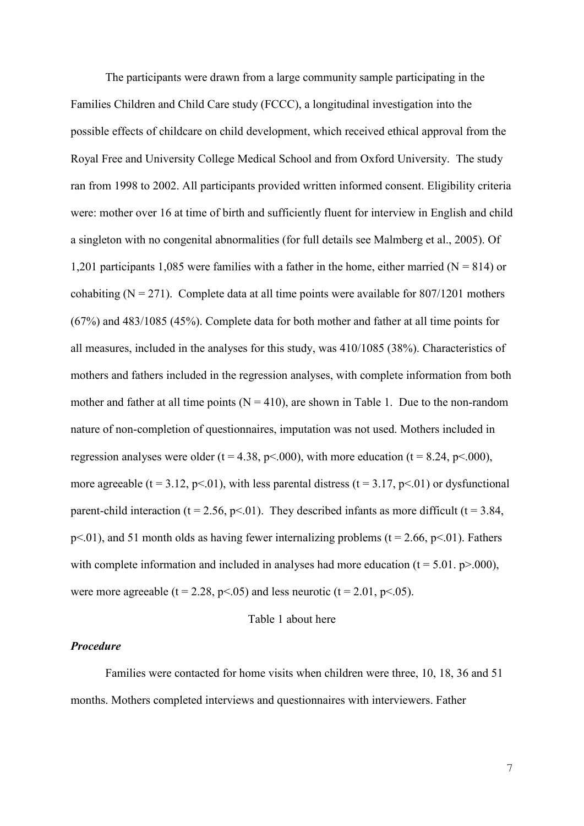The participants were drawn from a large community sample participating in the Families Children and Child Care study (FCCC), a longitudinal investigation into the possible effects of childcare on child development, which received ethical approval from the Royal Free and University College Medical School and from Oxford University. The study ran from 1998 to 2002. All participants provided written informed consent. Eligibility criteria were: mother over 16 at time of birth and sufficiently fluent for interview in English and child a singleton with no congenital abnormalities (for full details see Malmberg et al., 2005). Of 1,201 participants 1,085 were families with a father in the home, either married ( $N = 814$ ) or cohabiting  $(N = 271)$ . Complete data at all time points were available for 807/1201 mothers (67%) and 483/1085 (45%). Complete data for both mother and father at all time points for all measures, included in the analyses for this study, was 410/1085 (38%). Characteristics of mothers and fathers included in the regression analyses, with complete information from both mother and father at all time points ( $N = 410$ ), are shown in Table 1. Due to the non-random nature of non-completion of questionnaires, imputation was not used. Mothers included in regression analyses were older (t = 4.38, p < 000), with more education (t = 8.24, p < 000), more agreeable (t = 3.12, p < 01), with less parental distress (t = 3.17, p < 01) or dysfunctional parent-child interaction ( $t = 2.56$ ,  $p < 01$ ). They described infants as more difficult ( $t = 3.84$ ,  $p<.01$ ), and 51 month olds as having fewer internalizing problems (t = 2.66,  $p<.01$ ). Fathers with complete information and included in analyses had more education  $(t = 5.01, p > .000)$ , were more agreeable (t = 2.28, p < 0.05) and less neurotic (t = 2.01, p < 0.05).

# Table 1 about here

#### *Procedure*

Families were contacted for home visits when children were three, 10, 18, 36 and 51 months. Mothers completed interviews and questionnaires with interviewers. Father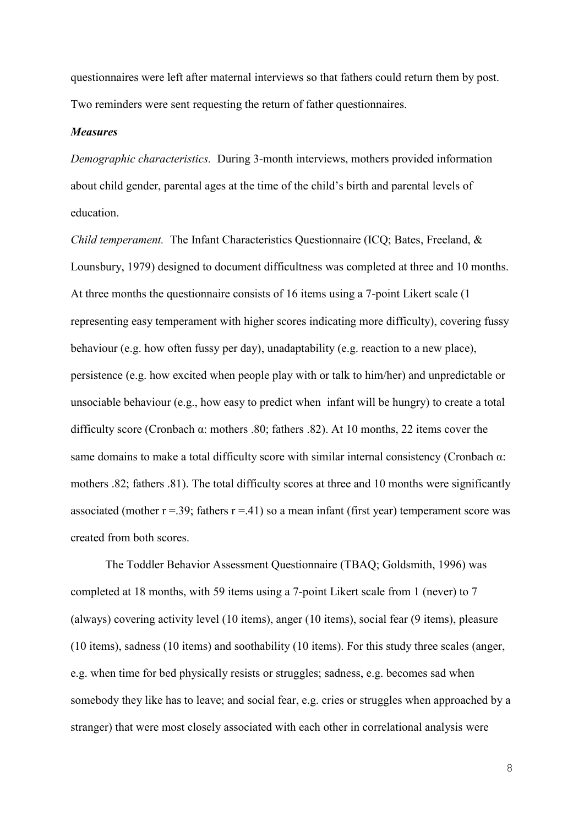questionnaires were left after maternal interviews so that fathers could return them by post. Two reminders were sent requesting the return of father questionnaires.

#### *Measures*

*Demographic characteristics.* During 3-month interviews, mothers provided information about child gender, parental ages at the time of the child's birth and parental levels of education.

*Child temperament.* The Infant Characteristics Questionnaire (ICQ; Bates, Freeland, & Lounsbury, 1979) designed to document difficultness was completed at three and 10 months. At three months the questionnaire consists of 16 items using a 7-point Likert scale (1 representing easy temperament with higher scores indicating more difficulty), covering fussy behaviour (e.g. how often fussy per day), unadaptability (e.g. reaction to a new place), persistence (e.g. how excited when people play with or talk to him/her) and unpredictable or unsociable behaviour (e.g., how easy to predict when infant will be hungry) to create a total difficulty score (Cronbach α: mothers .80; fathers .82). At 10 months, 22 items cover the same domains to make a total difficulty score with similar internal consistency (Cronbach α: mothers .82; fathers .81). The total difficulty scores at three and 10 months were significantly associated (mother  $r = .39$ ; fathers  $r = .41$ ) so a mean infant (first year) temperament score was created from both scores.

The Toddler Behavior Assessment Questionnaire (TBAQ; Goldsmith, 1996) was completed at 18 months, with 59 items using a 7-point Likert scale from 1 (never) to 7 (always) covering activity level (10 items), anger (10 items), social fear (9 items), pleasure (10 items), sadness (10 items) and soothability (10 items). For this study three scales (anger, e.g. when time for bed physically resists or struggles; sadness, e.g. becomes sad when somebody they like has to leave; and social fear, e.g. cries or struggles when approached by a stranger) that were most closely associated with each other in correlational analysis were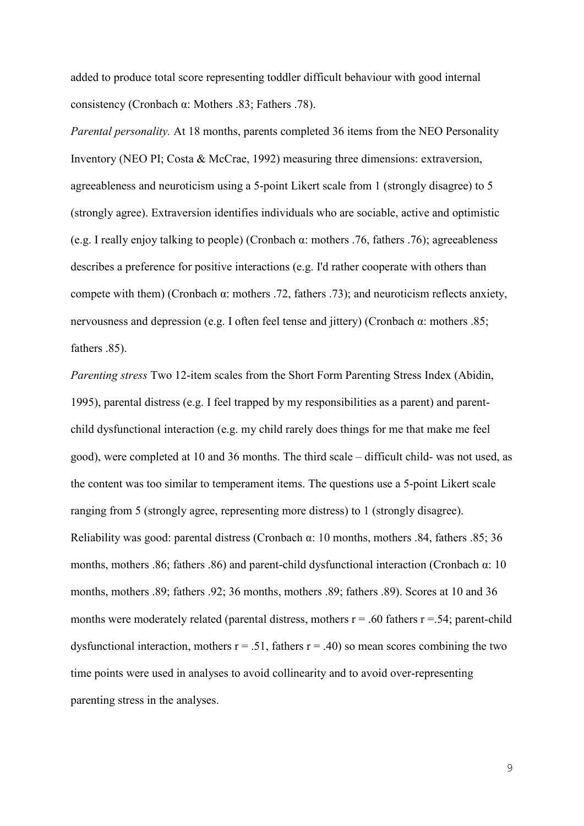added to produce total score representing toddler difficult behaviour with good internal consistency (Cronbach α: Mothers .83; Fathers .78).

*Parental personality.* At 18 months, parents completed 36 items from the NEO Personality Inventory (NEO PI; Costa & McCrae, 1992) measuring three dimensions: extraversion, agreeableness and neuroticism using a 5-point Likert scale from 1 (strongly disagree) to 5 (strongly agree). Extraversion identifies individuals who are sociable, active and optimistic (e.g. I really enjoy talking to people) (Cronbach α: mothers .76, fathers .76); agreeableness describes a preference for positive interactions (e.g. I'd rather cooperate with others than compete with them) (Cronbach α: mothers .72, fathers .73); and neuroticism reflects anxiety, nervousness and depression (e.g. I often feel tense and jittery) (Cronbach α: mothers .85; fathers .85).

*Parenting stress* Two 12-item scales from the Short Form Parenting Stress Index (Abidin, 1995), parental distress (e.g. I feel trapped by my responsibilities as a parent) and parentchild dysfunctional interaction (e.g. my child rarely does things for me that make me feel good), were completed at 10 and 36 months. The third scale – difficult child- was not used, as the content was too similar to temperament items. The questions use a 5-point Likert scale ranging from 5 (strongly agree, representing more distress) to 1 (strongly disagree). Reliability was good: parental distress (Cronbach  $\alpha$ : 10 months, mothers .84, fathers .85; 36 months, mothers .86; fathers .86) and parent-child dysfunctional interaction (Cronbach  $\alpha$ : 10 months, mothers .89; fathers .92; 36 months, mothers .89; fathers .89). Scores at 10 and 36 months were moderately related (parental distress, mothers  $r = .60$  fathers  $r = .54$ ; parent-child dysfunctional interaction, mothers  $r = .51$ , fathers  $r = .40$ ) so mean scores combining the two time points were used in analyses to avoid collinearity and to avoid over-representing parenting stress in the analyses.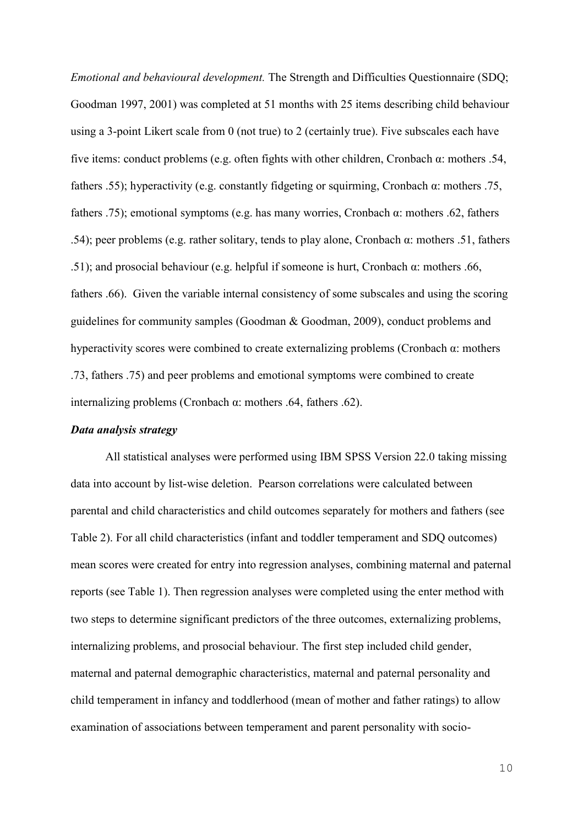*Emotional and behavioural development.* The Strength and Difficulties Questionnaire (SDQ; Goodman 1997, 2001) was completed at 51 months with 25 items describing child behaviour using a 3-point Likert scale from 0 (not true) to 2 (certainly true). Five subscales each have five items: conduct problems (e.g. often fights with other children, Cronbach α: mothers .54, fathers .55); hyperactivity (e.g. constantly fidgeting or squirming, Cronbach  $\alpha$ : mothers .75, fathers .75); emotional symptoms (e.g. has many worries, Cronbach α: mothers .62, fathers .54); peer problems (e.g. rather solitary, tends to play alone, Cronbach α: mothers .51, fathers .51); and prosocial behaviour (e.g. helpful if someone is hurt, Cronbach  $\alpha$ : mothers .66, fathers .66). Given the variable internal consistency of some subscales and using the scoring guidelines for community samples (Goodman & Goodman, 2009), conduct problems and hyperactivity scores were combined to create externalizing problems (Cronbach  $\alpha$ : mothers .73, fathers .75) and peer problems and emotional symptoms were combined to create internalizing problems (Cronbach α: mothers .64, fathers .62).

#### *Data analysis strategy*

All statistical analyses were performed using IBM SPSS Version 22.0 taking missing data into account by list-wise deletion. Pearson correlations were calculated between parental and child characteristics and child outcomes separately for mothers and fathers (see Table 2). For all child characteristics (infant and toddler temperament and SDQ outcomes) mean scores were created for entry into regression analyses, combining maternal and paternal reports (see Table 1). Then regression analyses were completed using the enter method with two steps to determine significant predictors of the three outcomes, externalizing problems, internalizing problems, and prosocial behaviour. The first step included child gender, maternal and paternal demographic characteristics, maternal and paternal personality and child temperament in infancy and toddlerhood (mean of mother and father ratings) to allow examination of associations between temperament and parent personality with socio-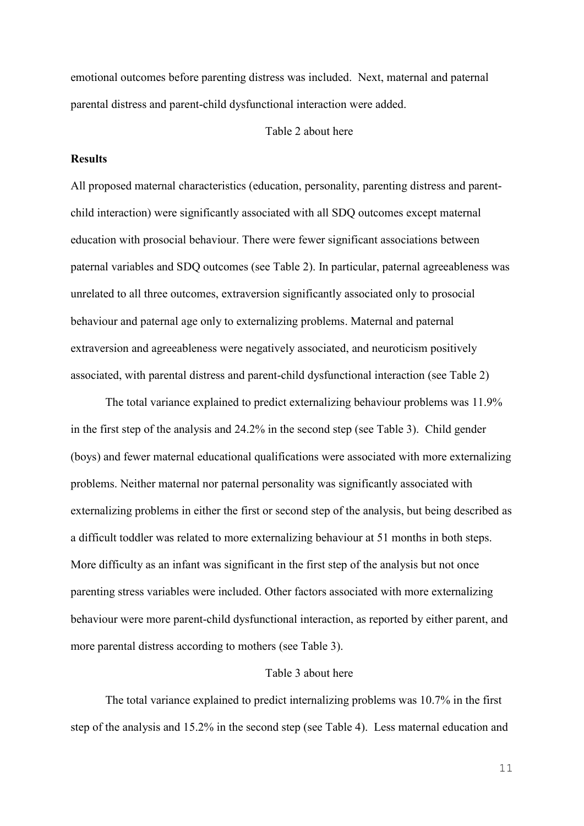emotional outcomes before parenting distress was included. Next, maternal and paternal parental distress and parent-child dysfunctional interaction were added.

#### Table 2 about here

# **Results**

All proposed maternal characteristics (education, personality, parenting distress and parentchild interaction) were significantly associated with all SDQ outcomes except maternal education with prosocial behaviour. There were fewer significant associations between paternal variables and SDQ outcomes (see Table 2). In particular, paternal agreeableness was unrelated to all three outcomes, extraversion significantly associated only to prosocial behaviour and paternal age only to externalizing problems. Maternal and paternal extraversion and agreeableness were negatively associated, and neuroticism positively associated, with parental distress and parent-child dysfunctional interaction (see Table 2)

The total variance explained to predict externalizing behaviour problems was 11.9% in the first step of the analysis and 24.2% in the second step (see Table 3). Child gender (boys) and fewer maternal educational qualifications were associated with more externalizing problems. Neither maternal nor paternal personality was significantly associated with externalizing problems in either the first or second step of the analysis, but being described as a difficult toddler was related to more externalizing behaviour at 51 months in both steps. More difficulty as an infant was significant in the first step of the analysis but not once parenting stress variables were included. Other factors associated with more externalizing behaviour were more parent-child dysfunctional interaction, as reported by either parent, and more parental distress according to mothers (see Table 3).

# Table 3 about here

The total variance explained to predict internalizing problems was 10.7% in the first step of the analysis and 15.2% in the second step (see Table 4). Less maternal education and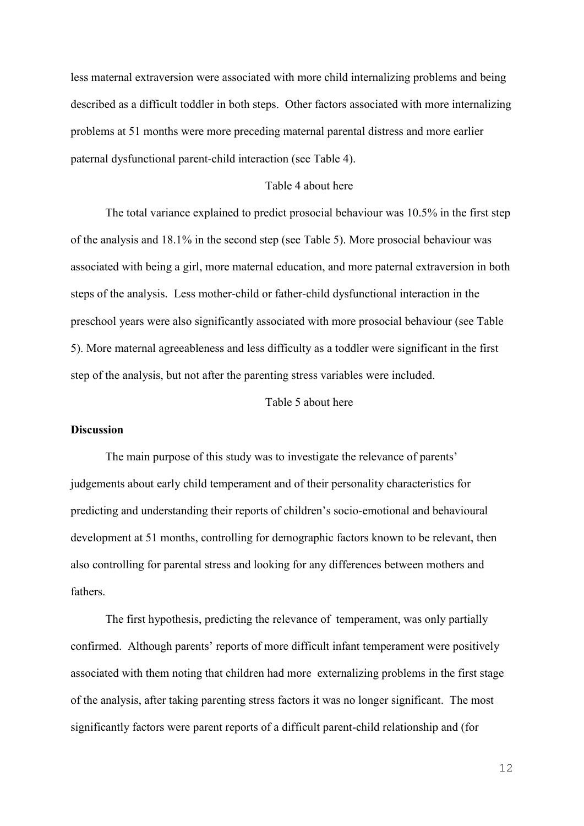less maternal extraversion were associated with more child internalizing problems and being described as a difficult toddler in both steps. Other factors associated with more internalizing problems at 51 months were more preceding maternal parental distress and more earlier paternal dysfunctional parent-child interaction (see Table 4).

# Table 4 about here

The total variance explained to predict prosocial behaviour was 10.5% in the first step of the analysis and 18.1% in the second step (see Table 5). More prosocial behaviour was associated with being a girl, more maternal education, and more paternal extraversion in both steps of the analysis. Less mother-child or father-child dysfunctional interaction in the preschool years were also significantly associated with more prosocial behaviour (see Table 5). More maternal agreeableness and less difficulty as a toddler were significant in the first step of the analysis, but not after the parenting stress variables were included.

# Table 5 about here

#### **Discussion**

The main purpose of this study was to investigate the relevance of parents' judgements about early child temperament and of their personality characteristics for predicting and understanding their reports of children's socio-emotional and behavioural development at 51 months, controlling for demographic factors known to be relevant, then also controlling for parental stress and looking for any differences between mothers and fathers.

The first hypothesis, predicting the relevance of temperament, was only partially confirmed. Although parents' reports of more difficult infant temperament were positively associated with them noting that children had more externalizing problems in the first stage of the analysis, after taking parenting stress factors it was no longer significant. The most significantly factors were parent reports of a difficult parent-child relationship and (for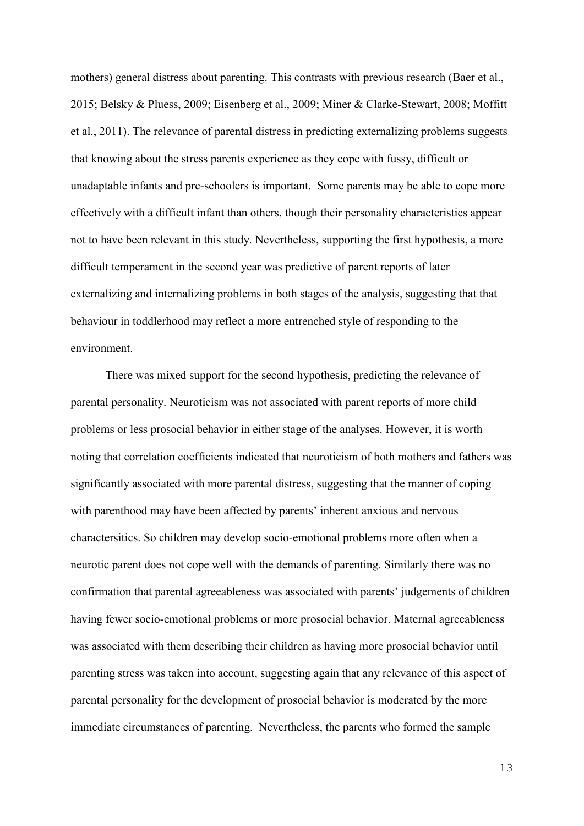mothers) general distress about parenting. This contrasts with previous research (Baer et al., 2015; Belsky & Pluess, 2009; Eisenberg et al., 2009; Miner & Clarke-Stewart, 2008; Moffitt et al., 2011). The relevance of parental distress in predicting externalizing problems suggests that knowing about the stress parents experience as they cope with fussy, difficult or unadaptable infants and pre-schoolers is important. Some parents may be able to cope more effectively with a difficult infant than others, though their personality characteristics appear not to have been relevant in this study. Nevertheless, supporting the first hypothesis, a more difficult temperament in the second year was predictive of parent reports of later externalizing and internalizing problems in both stages of the analysis, suggesting that that behaviour in toddlerhood may reflect a more entrenched style of responding to the environment.

There was mixed support for the second hypothesis, predicting the relevance of parental personality. Neuroticism was not associated with parent reports of more child problems or less prosocial behavior in either stage of the analyses. However, it is worth noting that correlation coefficients indicated that neuroticism of both mothers and fathers was significantly associated with more parental distress, suggesting that the manner of coping with parenthood may have been affected by parents' inherent anxious and nervous charactersitics. So children may develop socio-emotional problems more often when a neurotic parent does not cope well with the demands of parenting. Similarly there was no confirmation that parental agreeableness was associated with parents' judgements of children having fewer socio-emotional problems or more prosocial behavior. Maternal agreeableness was associated with them describing their children as having more prosocial behavior until parenting stress was taken into account, suggesting again that any relevance of this aspect of parental personality for the development of prosocial behavior is moderated by the more immediate circumstances of parenting. Nevertheless, the parents who formed the sample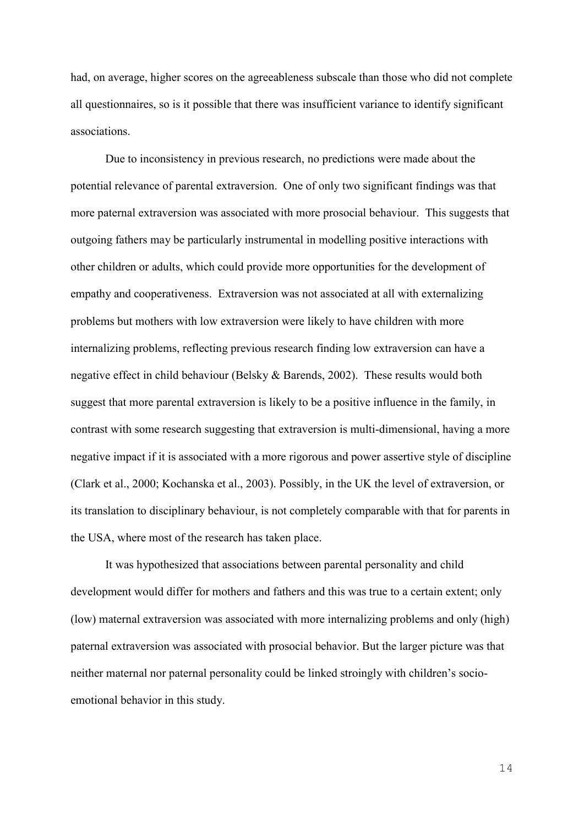had, on average, higher scores on the agreeableness subscale than those who did not complete all questionnaires, so is it possible that there was insufficient variance to identify significant associations.

Due to inconsistency in previous research, no predictions were made about the potential relevance of parental extraversion. One of only two significant findings was that more paternal extraversion was associated with more prosocial behaviour. This suggests that outgoing fathers may be particularly instrumental in modelling positive interactions with other children or adults, which could provide more opportunities for the development of empathy and cooperativeness. Extraversion was not associated at all with externalizing problems but mothers with low extraversion were likely to have children with more internalizing problems, reflecting previous research finding low extraversion can have a negative effect in child behaviour (Belsky & Barends, 2002). These results would both suggest that more parental extraversion is likely to be a positive influence in the family, in contrast with some research suggesting that extraversion is multi-dimensional, having a more negative impact if it is associated with a more rigorous and power assertive style of discipline (Clark et al., 2000; Kochanska et al., 2003). Possibly, in the UK the level of extraversion, or its translation to disciplinary behaviour, is not completely comparable with that for parents in the USA, where most of the research has taken place.

It was hypothesized that associations between parental personality and child development would differ for mothers and fathers and this was true to a certain extent; only (low) maternal extraversion was associated with more internalizing problems and only (high) paternal extraversion was associated with prosocial behavior. But the larger picture was that neither maternal nor paternal personality could be linked stroingly with children's socioemotional behavior in this study.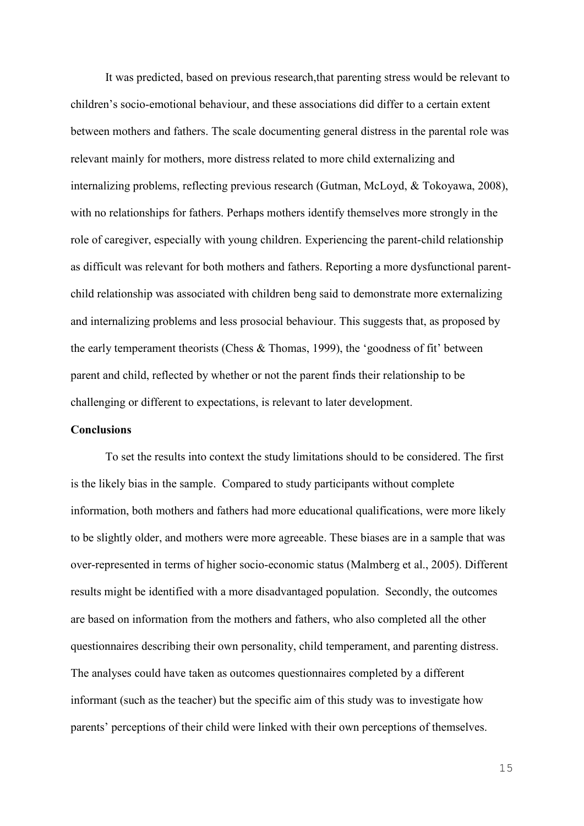It was predicted, based on previous research,that parenting stress would be relevant to children's socio-emotional behaviour, and these associations did differ to a certain extent between mothers and fathers. The scale documenting general distress in the parental role was relevant mainly for mothers, more distress related to more child externalizing and internalizing problems, reflecting previous research (Gutman, McLoyd, & Tokoyawa, 2008), with no relationships for fathers. Perhaps mothers identify themselves more strongly in the role of caregiver, especially with young children. Experiencing the parent-child relationship as difficult was relevant for both mothers and fathers. Reporting a more dysfunctional parentchild relationship was associated with children beng said to demonstrate more externalizing and internalizing problems and less prosocial behaviour. This suggests that, as proposed by the early temperament theorists (Chess & Thomas, 1999), the 'goodness of fit' between parent and child, reflected by whether or not the parent finds their relationship to be challenging or different to expectations, is relevant to later development.

## **Conclusions**

To set the results into context the study limitations should to be considered. The first is the likely bias in the sample. Compared to study participants without complete information, both mothers and fathers had more educational qualifications, were more likely to be slightly older, and mothers were more agreeable. These biases are in a sample that was over-represented in terms of higher socio-economic status (Malmberg et al., 2005). Different results might be identified with a more disadvantaged population. Secondly, the outcomes are based on information from the mothers and fathers, who also completed all the other questionnaires describing their own personality, child temperament, and parenting distress. The analyses could have taken as outcomes questionnaires completed by a different informant (such as the teacher) but the specific aim of this study was to investigate how parents' perceptions of their child were linked with their own perceptions of themselves.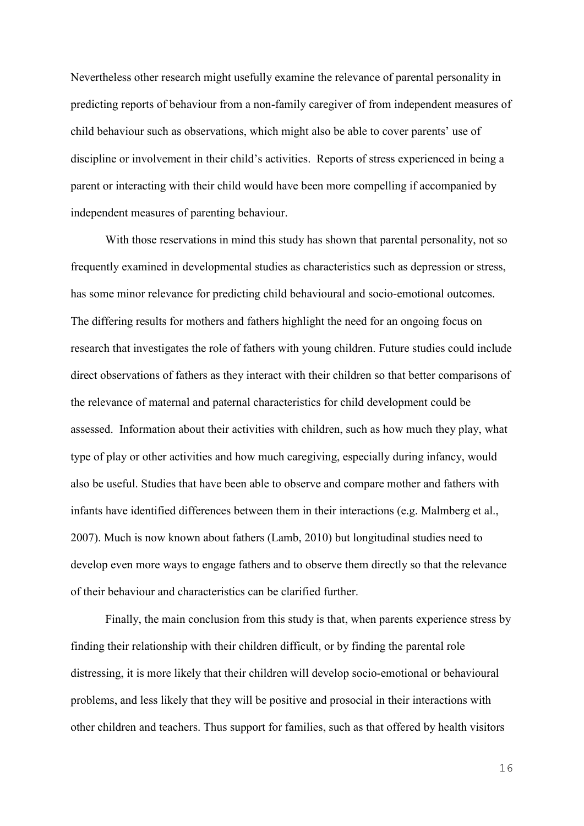Nevertheless other research might usefully examine the relevance of parental personality in predicting reports of behaviour from a non-family caregiver of from independent measures of child behaviour such as observations, which might also be able to cover parents' use of discipline or involvement in their child's activities. Reports of stress experienced in being a parent or interacting with their child would have been more compelling if accompanied by independent measures of parenting behaviour.

With those reservations in mind this study has shown that parental personality, not so frequently examined in developmental studies as characteristics such as depression or stress, has some minor relevance for predicting child behavioural and socio-emotional outcomes. The differing results for mothers and fathers highlight the need for an ongoing focus on research that investigates the role of fathers with young children. Future studies could include direct observations of fathers as they interact with their children so that better comparisons of the relevance of maternal and paternal characteristics for child development could be assessed. Information about their activities with children, such as how much they play, what type of play or other activities and how much caregiving, especially during infancy, would also be useful. Studies that have been able to observe and compare mother and fathers with infants have identified differences between them in their interactions (e.g. Malmberg et al., 2007). Much is now known about fathers (Lamb, 2010) but longitudinal studies need to develop even more ways to engage fathers and to observe them directly so that the relevance of their behaviour and characteristics can be clarified further.

Finally, the main conclusion from this study is that, when parents experience stress by finding their relationship with their children difficult, or by finding the parental role distressing, it is more likely that their children will develop socio-emotional or behavioural problems, and less likely that they will be positive and prosocial in their interactions with other children and teachers. Thus support for families, such as that offered by health visitors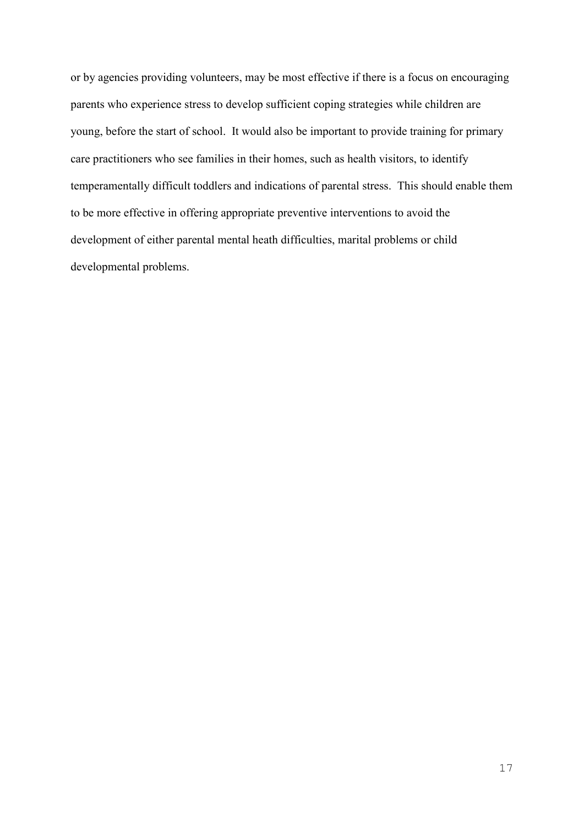or by agencies providing volunteers, may be most effective if there is a focus on encouraging parents who experience stress to develop sufficient coping strategies while children are young, before the start of school. It would also be important to provide training for primary care practitioners who see families in their homes, such as health visitors, to identify temperamentally difficult toddlers and indications of parental stress. This should enable them to be more effective in offering appropriate preventive interventions to avoid the development of either parental mental heath difficulties, marital problems or child developmental problems.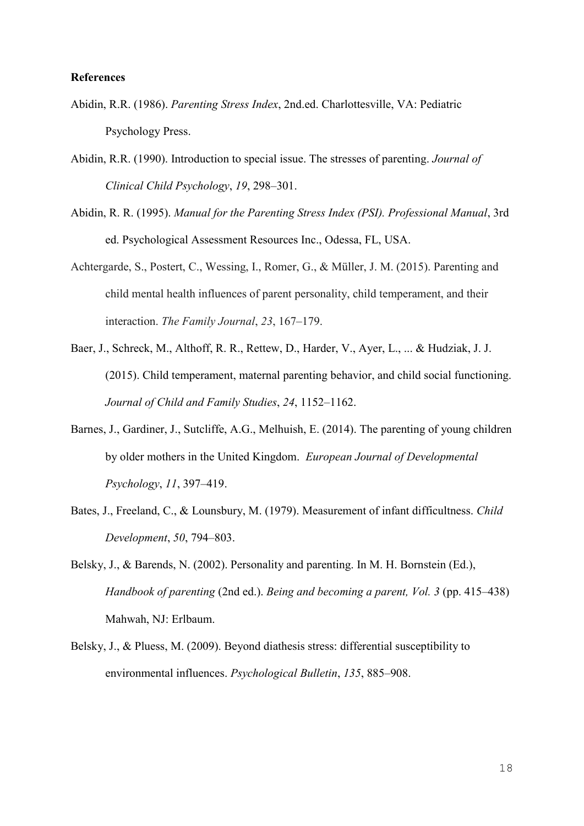#### **References**

- Abidin, R.R. (1986). *Parenting Stress Index*, 2nd.ed. Charlottesville, VA: Pediatric Psychology Press.
- Abidin, R.R. (1990). Introduction to special issue. The stresses of parenting. *Journal of Clinical Child Psychology*, *19*, 298–301.
- Abidin, R. R. (1995). *Manual for the Parenting Stress Index (PSI). Professional Manual*, 3rd ed. Psychological Assessment Resources Inc., Odessa, FL, USA.
- Achtergarde, S., Postert, C., Wessing, I., Romer, G., & Müller, J. M. (2015). Parenting and child mental health influences of parent personality, child temperament, and their interaction. *The Family Journal*, *23*, 167–179.
- Baer, J., Schreck, M., Althoff, R. R., Rettew, D., Harder, V., Ayer, L., ... & Hudziak, J. J. (2015). Child temperament, maternal parenting behavior, and child social functioning. *Journal of Child and Family Studies*, *24*, 1152–1162.
- Barnes, J., Gardiner, J., Sutcliffe, A.G., Melhuish, E. (2014). The parenting of young children by older mothers in the United Kingdom. *European Journal of Developmental Psychology*, *11*, 397–419.
- Bates, J., Freeland, C., & Lounsbury, M. (1979). Measurement of infant difficultness. *Child Development*, *50*, 794–803.
- Belsky, J., & Barends, N. (2002). Personality and parenting. In M. H. Bornstein (Ed.), *Handbook of parenting* (2nd ed.). *Being and becoming a parent, Vol. 3* (pp. 415–438) Mahwah, NJ: Erlbaum.
- Belsky, J., & Pluess, M. (2009). Beyond diathesis stress: differential susceptibility to environmental influences. *Psychological Bulletin*, *135*, 885–908.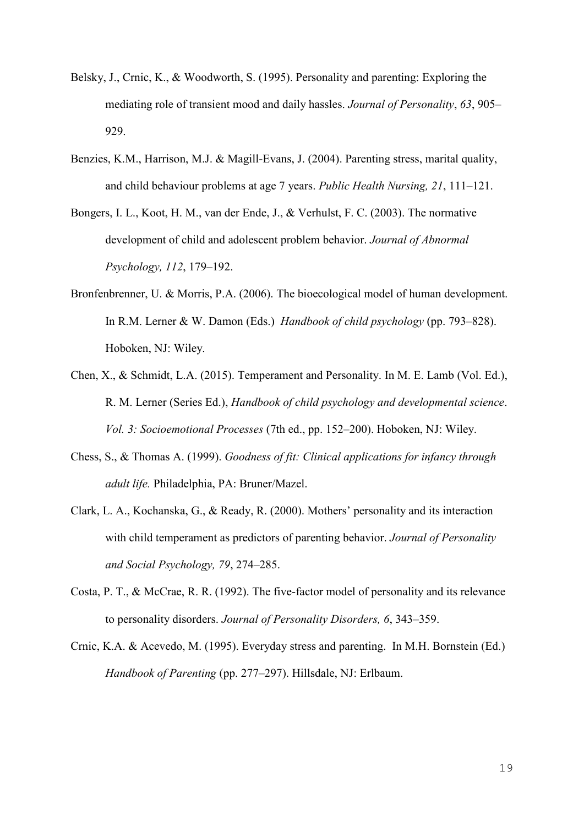- Belsky, J., Crnic, K., & Woodworth, S. (1995). Personality and parenting: Exploring the mediating role of transient mood and daily hassles. *Journal of Personality*, *63*, 905– 929.
- Benzies, K.M., Harrison, M.J. & Magill-Evans, J. (2004). Parenting stress, marital quality, and child behaviour problems at age 7 years. *Public Health Nursing, 21*, 111–121.
- Bongers, I. L., Koot, H. M., van der Ende, J., & Verhulst, F. C. (2003). The normative development of child and adolescent problem behavior. *Journal of Abnormal Psychology, 112*, 179–192.
- Bronfenbrenner, U. & Morris, P.A. (2006). The bioecological model of human development. In R.M. Lerner & W. Damon (Eds.) *Handbook of child psychology* (pp. 793–828). Hoboken, NJ: Wiley.
- Chen, X., & Schmidt, L.A. (2015). Temperament and Personality. In M. E. Lamb (Vol. Ed.), R. M. Lerner (Series Ed.), *Handbook of child psychology and developmental science*. *Vol. 3: Socioemotional Processes* (7th ed., pp. 152–200). Hoboken, NJ: Wiley.
- Chess, S., & Thomas A. (1999). *Goodness of fit: Clinical applications for infancy through adult life.* Philadelphia, PA: Bruner/Mazel.
- Clark, L. A., Kochanska, G., & Ready, R. (2000). Mothers' personality and its interaction with child temperament as predictors of parenting behavior. *Journal of Personality and Social Psychology, 79*, 274–285.
- Costa, P. T., & McCrae, R. R. (1992). The five-factor model of personality and its relevance to personality disorders. *Journal of Personality Disorders, 6*, 343–359.
- Crnic, K.A. & Acevedo, M. (1995). Everyday stress and parenting. In M.H. Bornstein (Ed.) *Handbook of Parenting* (pp. 277–297). Hillsdale, NJ: Erlbaum.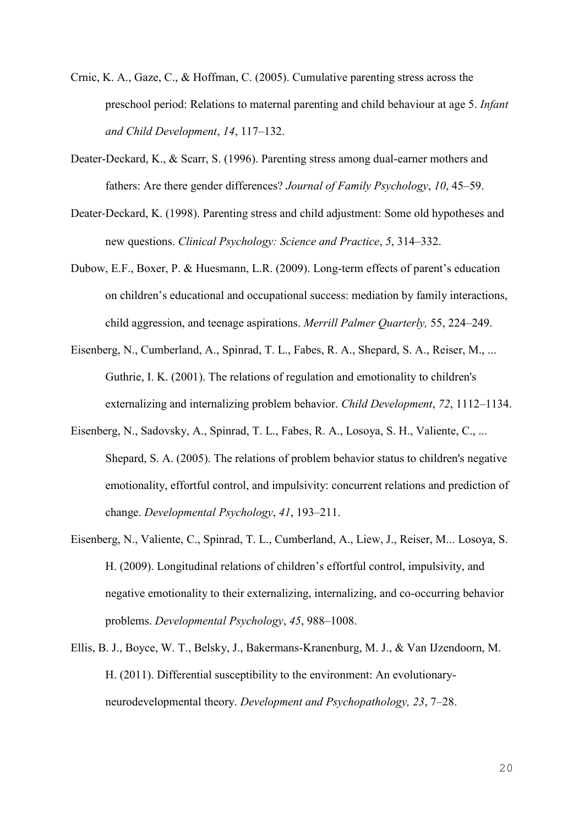- Crnic, K. A., Gaze, C., & Hoffman, C. (2005). Cumulative parenting stress across the preschool period: Relations to maternal parenting and child behaviour at age 5. *Infant and Child Development*, *14*, 117–132.
- Deater-Deckard, K., & Scarr, S. (1996). Parenting stress among dual-earner mothers and fathers: Are there gender differences? *Journal of Family Psychology*, *10*, 45–59.
- Deater‐Deckard, K. (1998). Parenting stress and child adjustment: Some old hypotheses and new questions. *Clinical Psychology: Science and Practice*, *5*, 314–332.
- Dubow, E.F., Boxer, P. & Huesmann, L.R. (2009). Long-term effects of parent's education on children's educational and occupational success: mediation by family interactions, child aggression, and teenage aspirations. *Merrill Palmer Quarterly,* 55, 224–249.
- Eisenberg, N., Cumberland, A., Spinrad, T. L., Fabes, R. A., Shepard, S. A., Reiser, M., ... Guthrie, I. K. (2001). The relations of regulation and emotionality to children's externalizing and internalizing problem behavior. *Child Development*, *72*, 1112–1134.
- Eisenberg, N., Sadovsky, A., Spinrad, T. L., Fabes, R. A., Losoya, S. H., Valiente, C., ... Shepard, S. A. (2005). The relations of problem behavior status to children's negative emotionality, effortful control, and impulsivity: concurrent relations and prediction of change. *Developmental Psychology*, *41*, 193–211.
- Eisenberg, N., Valiente, C., Spinrad, T. L., Cumberland, A., Liew, J., Reiser, M... Losoya, S. H. (2009). Longitudinal relations of children's effortful control, impulsivity, and negative emotionality to their externalizing, internalizing, and co-occurring behavior problems. *Developmental Psychology*, *45*, 988–1008.
- Ellis, B. J., Boyce, W. T., Belsky, J., Bakermans-Kranenburg, M. J., & Van IJzendoorn, M. H. (2011). Differential susceptibility to the environment: An evolutionaryneurodevelopmental theory. *Development and Psychopathology, 23*, 7–28.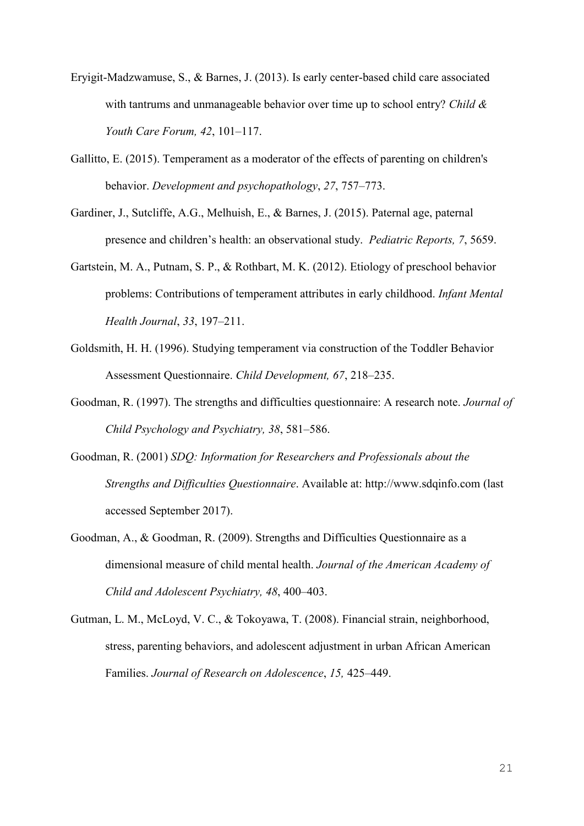- Eryigit-Madzwamuse, S., & Barnes, J. (2013). Is early center-based child care associated with tantrums and unmanageable behavior over time up to school entry? *Child & Youth Care Forum, 42*, 101–117.
- Gallitto, E. (2015). Temperament as a moderator of the effects of parenting on children's behavior. *Development and psychopathology*, *27*, 757–773.
- Gardiner, J., Sutcliffe, A.G., Melhuish, E., & Barnes, J. (2015). Paternal age, paternal presence and children's health: an observational study. *Pediatric Reports, 7*, 5659.
- Gartstein, M. A., Putnam, S. P., & Rothbart, M. K. (2012). Etiology of preschool behavior problems: Contributions of temperament attributes in early childhood. *Infant Mental Health Journal*, *33*, 197–211.
- Goldsmith, H. H. (1996). Studying temperament via construction of the Toddler Behavior Assessment Questionnaire. *Child Development, 67*, 218–235.
- Goodman, R. (1997). The strengths and difficulties questionnaire: A research note. *Journal of Child Psychology and Psychiatry, 38*, 581–586.
- Goodman, R. (2001) *SDQ: Information for Researchers and Professionals about the Strengths and Difficulties Questionnaire*. Available at: http://www.sdqinfo.com (last accessed September 2017).
- Goodman, A., & Goodman, R. (2009). Strengths and Difficulties Questionnaire as a dimensional measure of child mental health. *Journal of the American Academy of Child and Adolescent Psychiatry, 48*, 400–403.
- Gutman, L. M., McLoyd, V. C., & Tokoyawa, T. (2008). Financial strain, neighborhood, stress, parenting behaviors, and adolescent adjustment in urban African American Families. *Journal of Research on Adolescence*, *15,* 425–449.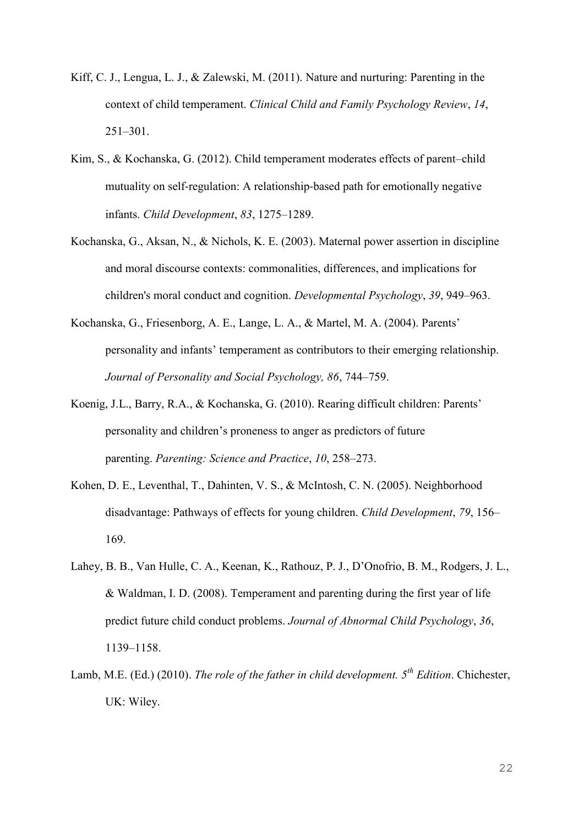- Kiff, C. J., Lengua, L. J., & Zalewski, M. (2011). Nature and nurturing: Parenting in the context of child temperament. *Clinical Child and Family Psychology Review*, *14*, 251–301.
- Kim, S., & Kochanska, G. (2012). Child temperament moderates effects of parent–child mutuality on self‐regulation: A relationship‐based path for emotionally negative infants. *Child Development*, *83*, 1275–1289.
- Kochanska, G., Aksan, N., & Nichols, K. E. (2003). Maternal power assertion in discipline and moral discourse contexts: commonalities, differences, and implications for children's moral conduct and cognition. *Developmental Psychology*, *39*, 949–963.
- Kochanska, G., Friesenborg, A. E., Lange, L. A., & Martel, M. A. (2004). Parents' personality and infants' temperament as contributors to their emerging relationship. *Journal of Personality and Social Psychology, 86*, 744–759.
- Koenig, J.L., Barry, R.A., & Kochanska, G. (2010). Rearing difficult children: Parents' personality and children's proneness to anger as predictors of future parenting. *Parenting: Science and Practice*, *10*, 258–273.
- Kohen, D. E., Leventhal, T., Dahinten, V. S., & McIntosh, C. N. (2005). Neighborhood disadvantage: Pathways of effects for young children. *Child Development*, *79*, 156– 169.
- Lahey, B. B., Van Hulle, C. A., Keenan, K., Rathouz, P. J., D'Onofrio, B. M., Rodgers, J. L., & Waldman, I. D. (2008). Temperament and parenting during the first year of life predict future child conduct problems. *Journal of Abnormal Child Psychology*, *36*, 1139–1158.
- Lamb, M.E. (Ed.) (2010). *The role of the father in child development. 5th Edition*. Chichester, UK: Wiley.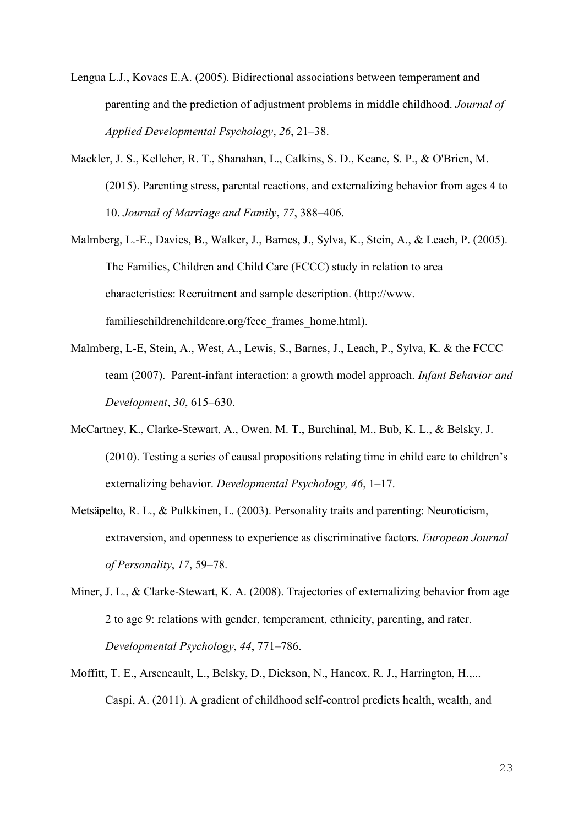- Lengua L.J., Kovacs E.A. (2005). Bidirectional associations between temperament and parenting and the prediction of adjustment problems in middle childhood. *Journal of Applied Developmental Psychology*, *26*, 21–38.
- Mackler, J. S., Kelleher, R. T., Shanahan, L., Calkins, S. D., Keane, S. P., & O'Brien, M. (2015). Parenting stress, parental reactions, and externalizing behavior from ages 4 to 10. *Journal of Marriage and Family*, *77*, 388–406.
- Malmberg, L.-E., Davies, B., Walker, J., Barnes, J., Sylva, K., Stein, A., & Leach, P. (2005). The Families, Children and Child Care (FCCC) study in relation to area characteristics: Recruitment and sample description. (http://www. familieschildrenchildcare.org/fccc\_frames\_home.html).
- Malmberg, L-E, Stein, A., West, A., Lewis, S., Barnes, J., Leach, P., Sylva, K. & the FCCC team (2007). Parent-infant interaction: a growth model approach. *Infant Behavior and Development*, *30*, 615–630.
- McCartney, K., Clarke-Stewart, A., Owen, M. T., Burchinal, M., Bub, K. L., & Belsky, J. (2010). Testing a series of causal propositions relating time in child care to children's externalizing behavior. *Developmental Psychology, 46*, 1–17.
- Metsäpelto, R. L., & Pulkkinen, L. (2003). Personality traits and parenting: Neuroticism, extraversion, and openness to experience as discriminative factors. *European Journal of Personality*, *17*, 59–78.
- Miner, J. L., & Clarke-Stewart, K. A. (2008). Trajectories of externalizing behavior from age 2 to age 9: relations with gender, temperament, ethnicity, parenting, and rater. *Developmental Psychology*, *44*, 771–786.
- Moffitt, T. E., Arseneault, L., Belsky, D., Dickson, N., Hancox, R. J., Harrington, H.,... Caspi, A. (2011). A gradient of childhood self-control predicts health, wealth, and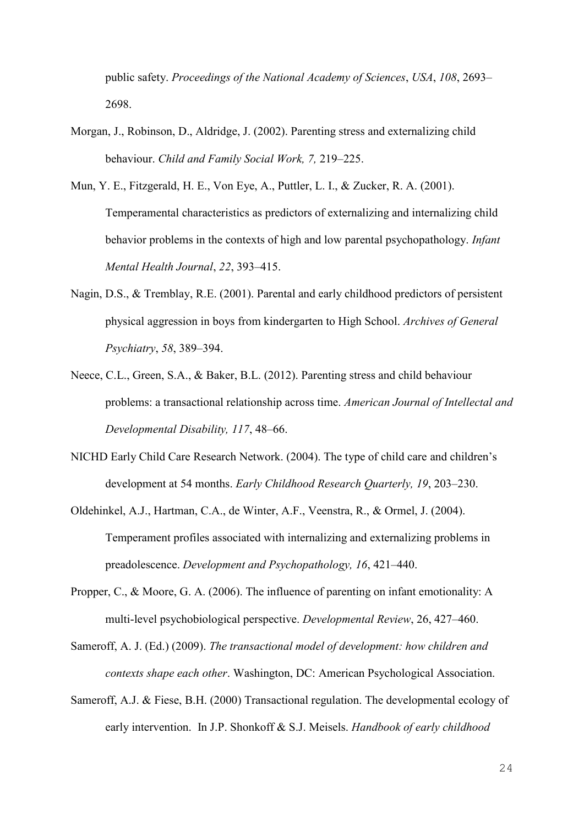public safety. *Proceedings of the National Academy of Sciences*, *USA*, *108*, 2693– 2698.

- Morgan, J., Robinson, D., Aldridge, J. (2002). Parenting stress and externalizing child behaviour. *Child and Family Social Work, 7,* 219–225.
- Mun, Y. E., Fitzgerald, H. E., Von Eye, A., Puttler, L. I., & Zucker, R. A. (2001). Temperamental characteristics as predictors of externalizing and internalizing child behavior problems in the contexts of high and low parental psychopathology. *Infant Mental Health Journal*, *22*, 393–415.
- Nagin, D.S., & Tremblay, R.E. (2001). Parental and early childhood predictors of persistent physical aggression in boys from kindergarten to High School. *Archives of General Psychiatry*, *58*, 389–394.
- Neece, C.L., Green, S.A., & Baker, B.L. (2012). Parenting stress and child behaviour problems: a transactional relationship across time. *American Journal of Intellectal and Developmental Disability, 117*, 48–66.
- NICHD Early Child Care Research Network. (2004). The type of child care and children's development at 54 months. *Early Childhood Research Quarterly, 19*, 203–230.
- Oldehinkel, A.J., Hartman, C.A., de Winter, A.F., Veenstra, R., & Ormel, J. (2004). Temperament profiles associated with internalizing and externalizing problems in preadolescence. *Development and Psychopathology, 16*, 421–440.
- Propper, C., & Moore, G. A. (2006). The influence of parenting on infant emotionality: A multi-level psychobiological perspective. *Developmental Review*, 26, 427–460.
- Sameroff, A. J. (Ed.) (2009). *The transactional model of development: how children and contexts shape each other*. Washington, DC: American Psychological Association.
- Sameroff, A.J. & Fiese, B.H. (2000) Transactional regulation. The developmental ecology of early intervention. In J.P. Shonkoff & S.J. Meisels. *Handbook of early childhood*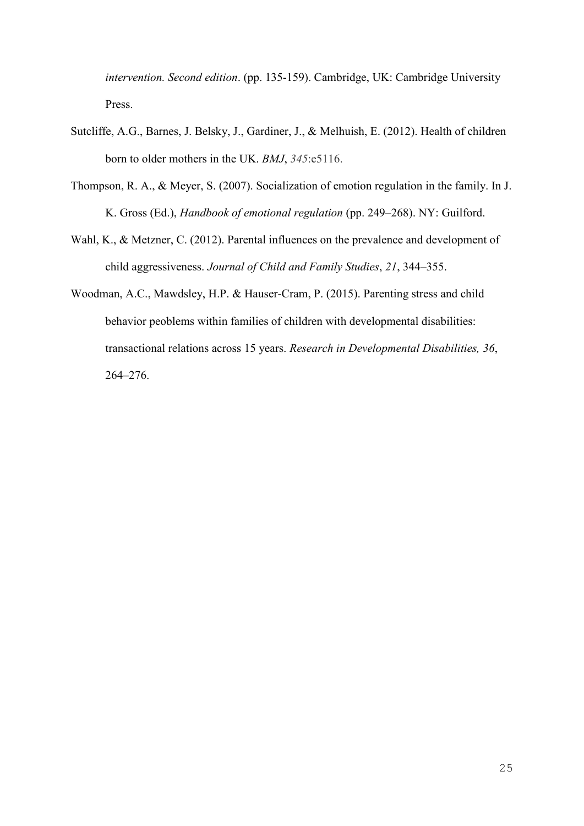*intervention. Second edition*. (pp. 135-159). Cambridge, UK: Cambridge University Press.

- Sutcliffe, A.G., Barnes, J. Belsky, J., Gardiner, J., & Melhuish, E. (2012). Health of children born to older mothers in the UK. *BMJ*, *345*:e5116.
- Thompson, R. A., & Meyer, S. (2007). Socialization of emotion regulation in the family. In J. K. Gross (Ed.), *Handbook of emotional regulation* (pp. 249–268). NY: Guilford.
- Wahl, K., & Metzner, C. (2012). Parental influences on the prevalence and development of child aggressiveness. *Journal of Child and Family Studies*, *21*, 344–355.
- Woodman, A.C., Mawdsley, H.P. & Hauser-Cram, P. (2015). Parenting stress and child behavior peoblems within families of children with developmental disabilities: transactional relations across 15 years. *Research in Developmental Disabilities, 36*, 264–276.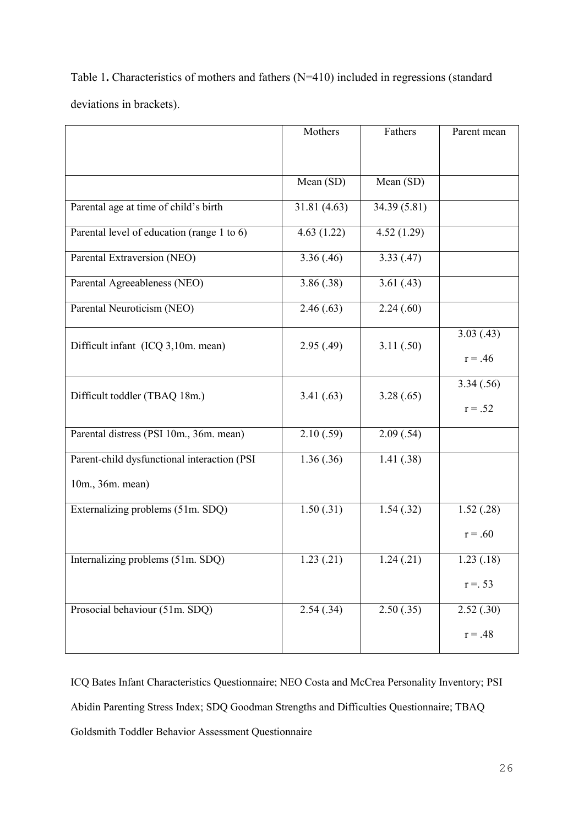Table 1. Characteristics of mothers and fathers (N=410) included in regressions (standard deviations in brackets).

|                                             | Mothers      | Fathers                | Parent mean |
|---------------------------------------------|--------------|------------------------|-------------|
|                                             |              |                        |             |
|                                             |              |                        |             |
|                                             | Mean (SD)    | Mean (SD)              |             |
| Parental age at time of child's birth       | 31.81 (4.63) | 34.39 (5.81)           |             |
| Parental level of education (range 1 to 6)  | 4.63(1.22)   | 4.52(1.29)             |             |
| Parental Extraversion (NEO)                 | 3.36(.46)    | $\overline{3.33}(.47)$ |             |
| Parental Agreeableness (NEO)                | 3.86(.38)    | 3.61(0.43)             |             |
| Parental Neuroticism (NEO)                  | 2.46(.63)    | 2.24(.60)              |             |
| Difficult infant (ICQ 3,10m. mean)          | 2.95(.49)    | 3.11(.50)              | 3.03(0.43)  |
|                                             |              |                        | $r = .46$   |
| Difficult toddler (TBAQ 18m.)               | 3.41(.63)    | 3.28(.65)              | 3.34(.56)   |
|                                             |              |                        | $r = .52$   |
| Parental distress (PSI 10m., 36m. mean)     | 2.10(.59)    | 2.09(.54)              |             |
| Parent-child dysfunctional interaction (PSI | 1.36(.36)    | 1.41(.38)              |             |
| 10m., 36m. mean)                            |              |                        |             |
| Externalizing problems (51m. SDQ)           | 1.50(.31)    | 1.54(.32)              | 1.52(.28)   |
|                                             |              |                        | $r = .60$   |
| Internalizing problems (51m. SDQ)           | 1.23(.21)    | 1.24(0.21)             | 1.23(0.18)  |
|                                             |              |                        | $r = 53$    |
| Prosocial behaviour (51m. SDQ)              | 2.54(.34)    | 2.50(.35)              | 2.52(.30)   |
|                                             |              |                        | $r = .48$   |

ICQ Bates Infant Characteristics Questionnaire; NEO Costa and McCrea Personality Inventory; PSI Abidin Parenting Stress Index; SDQ Goodman Strengths and Difficulties Questionnaire; TBAQ Goldsmith Toddler Behavior Assessment Questionnaire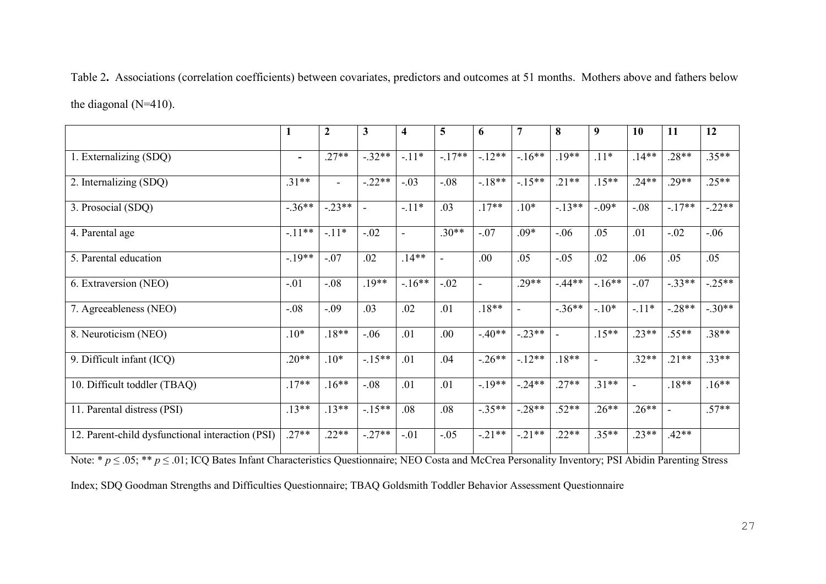Table 2**.** Associations (correlation coefficients) between covariates, predictors and outcomes at 51 months. Mothers above and fathers below

the diagonal (N=410).

|                                                  | 1              | $\boldsymbol{2}$ | $\mathbf{3}$   | $\overline{4}$ | $\overline{5}$ | 6        | $\overline{7}$ | 8              | 9        | <b>10</b>      | 11             | 12       |
|--------------------------------------------------|----------------|------------------|----------------|----------------|----------------|----------|----------------|----------------|----------|----------------|----------------|----------|
|                                                  |                |                  |                |                |                |          |                |                |          |                |                |          |
| 1. Externalizing (SDQ)                           | $\blacksquare$ | $.27**$          | $-.32**$       | $-11*$         | $-17**$        | $-12**$  | $-16**$        | $.19**$        | $.11*$   | $.14**$        | $.28**$        | $.35**$  |
| 2. Internalizing (SDQ)                           | $.31**$        | $\blacksquare$   | $-.22**$       | $-.03$         | $-.08$         | $-18**$  | $-15**$        | $.21**$        | $.15***$ | $.24**$        | $.29**$        | $.25**$  |
| 3. Prosocial (SDQ)                               | $-.36**$       | $-.23**$         | $\blacksquare$ | $-11*$         | .03            | $.17**$  | $.10*$         | $-13**$        | $-0.09*$ | $-.08$         | $-17**$        | $-.22**$ |
| 4. Parental age                                  | $-.11**$       | $-11*$           | $-.02$         | $\blacksquare$ | $.30**$        | $-.07$   | $.09*$         | $-.06$         | .05      | .01            | $-.02$         | $-.06$   |
| 5. Parental education                            | $-19**$        | $-.07$           | .02            | $.14**$        |                | .00.     | .05            | $-.05$         | .02      | .06            | .05            | .05      |
| 6. Extraversion (NEO)                            | $-.01$         | $-.08$           | $.19**$        | $-16**$        | $-.02$         | $\Box$   | $.29**$        | $-44**$        | $-16**$  | $-.07$         | $-.33**$       | $-.25**$ |
| 7. Agreeableness (NEO)                           | $-.08$         | $-.09$           | .03            | .02            | .01            | $.18**$  | $\sim$         | $-.36**$       | $-10*$   | $-11*$         | $-.28**$       | $-.30**$ |
| 8. Neuroticism (NEO)                             | $.10*$         | $.18**$          | $-.06$         | .01            | .00.           | $-.40**$ | $-23**$        | $\blacksquare$ | $.15**$  | $.23**$        | $.55**$        | $.38**$  |
| 9. Difficult infant (ICQ)                        | $.20**$        | $.10*$           | $-15**$        | .01            | .04            | $-.26**$ | $-12**$        | $.18**$        |          | $.32**$        | $.21**$        | $.33**$  |
| 10. Difficult toddler (TBAQ)                     | $.17**$        | $.16**$          | $-.08$         | .01            | .01            | $-19**$  | $-.24**$       | $.27**$        | $.31**$  | $\blacksquare$ | $.18**$        | $.16**$  |
| 11. Parental distress (PSI)                      | $13**$         | $.13**$          | $-15**$        | .08            | .08            | $-.35**$ | $-28**$        | $.52**$        | $.26**$  | $.26**$        | $\blacksquare$ | $.57**$  |
| 12. Parent-child dysfunctional interaction (PSI) | $.27**$        | $.22**$          | $-.27**$       | $-.01$         | $-.05$         | $-.21**$ | $-.21**$       | $.22**$        | $.35**$  | $.23**$        | $.42**$        |          |

Note: \* *p* ≤ .05; \*\* *p* ≤ .01; ICQ Bates Infant Characteristics Questionnaire; NEO Costa and McCrea Personality Inventory; PSI Abidin Parenting Stress

Index; SDQ Goodman Strengths and Difficulties Questionnaire; TBAQ Goldsmith Toddler Behavior Assessment Questionnaire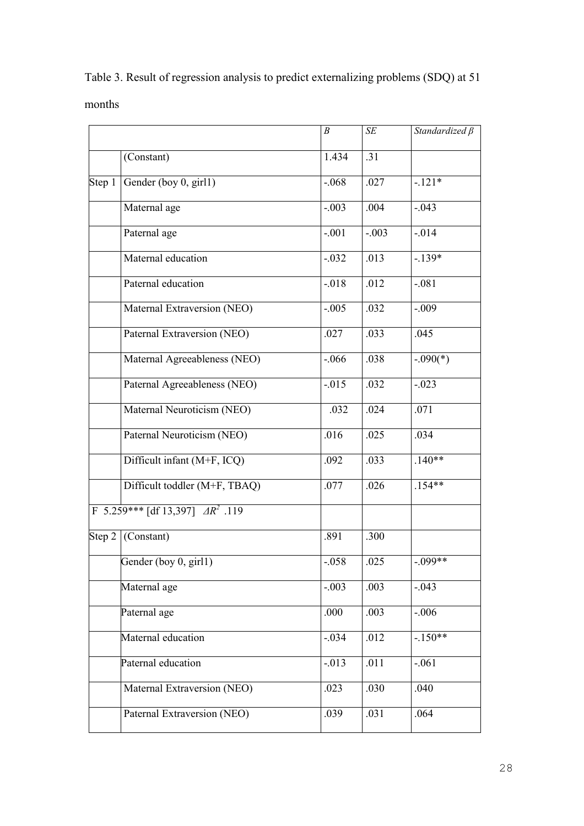Table 3. Result of regression analysis to predict externalizing problems (SDQ) at 51 months

|        |                                          | B        | SE      | Standardized $\beta$ |
|--------|------------------------------------------|----------|---------|----------------------|
|        | (Constant)                               | 1.434    | .31     |                      |
| Step 1 | Gender (boy 0, girl1)                    | $-.068$  | .027    | $-121*$              |
|        | Maternal age                             | $-.003$  | .004    | $-.043$              |
|        | Paternal age                             | $-.001$  | $-.003$ | $-0.014$             |
|        | Maternal education                       | $-.032$  | .013    | $-139*$              |
|        | Paternal education                       | $-.018$  | .012    | $-.081$              |
|        | Maternal Extraversion (NEO)              | $-.005$  | .032    | $-.009$              |
|        | Paternal Extraversion (NEO)              | .027     | .033    | .045                 |
|        | Maternal Agreeableness (NEO)             | $-.066$  | .038    | $-.090(*)$           |
|        | Paternal Agreeableness (NEO)             | $-0.015$ | .032    | $-.023$              |
|        | Maternal Neuroticism (NEO)               | .032     | .024    | .071                 |
|        | Paternal Neuroticism (NEO)               | .016     | .025    | .034                 |
|        | Difficult infant (M+F, ICQ)              | .092     | .033    | $.140**$             |
|        | Difficult toddler (M+F, TBAQ)            | .077     | .026    | $.154**$             |
|        | F 5.259*** [df 13,397] $\Delta R^2$ .119 |          |         |                      |
|        | Step 2 $(Constant)$                      | .891     | .300    |                      |
|        | Gender (boy 0, girl1)                    | $-.058$  | .025    | $-0.099**$           |
|        | Maternal age                             | $-.003$  | .003    | $-.043$              |
|        | Paternal age                             | .000     | .003    | $-0.006$             |
|        | Maternal education                       | $-.034$  | .012    | $-150**$             |
|        | Paternal education                       | $-0.013$ | .011    | $-.061$              |
|        | Maternal Extraversion (NEO)              | .023     | .030    | .040                 |
|        | Paternal Extraversion (NEO)              | .039     | .031    | .064                 |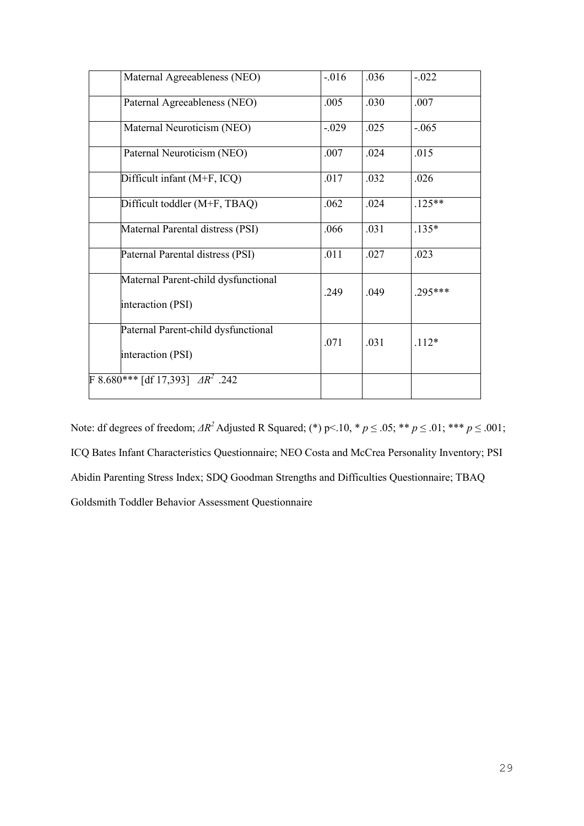| Maternal Agreeableness (NEO)                             | $-0.016$ | .036 | $-0.022$ |
|----------------------------------------------------------|----------|------|----------|
| Paternal Agreeableness (NEO)                             | .005     | .030 | .007     |
| Maternal Neuroticism (NEO)                               | $-.029$  | .025 | $-.065$  |
| Paternal Neuroticism (NEO)                               | .007     | .024 | .015     |
| Difficult infant (M+F, ICQ)                              | .017     | .032 | .026     |
| Difficult toddler (M+F, TBAQ)                            | .062     | .024 | $.125**$ |
| Maternal Parental distress (PSI)                         | .066     | .031 | $.135*$  |
| Paternal Parental distress (PSI)                         | .011     | .027 | .023     |
| Maternal Parent-child dysfunctional<br>interaction (PSI) | .249     | .049 | .295***  |
|                                                          |          |      |          |
| Paternal Parent-child dysfunctional<br>interaction (PSI) | .071     | .031 | $.112*$  |
| F 8.680*** [df 17,393] $\Delta R^2$ .242                 |          |      |          |

Note: df degrees of freedom; *ΔR<sup>2</sup>*Adjusted R Squared; (\*) p<.10, \* *p* ≤ .05; \*\* *p* ≤ .01; \*\*\* *p* ≤ .001; ICQ Bates Infant Characteristics Questionnaire; NEO Costa and McCrea Personality Inventory; PSI Abidin Parenting Stress Index; SDQ Goodman Strengths and Difficulties Questionnaire; TBAQ Goldsmith Toddler Behavior Assessment Questionnaire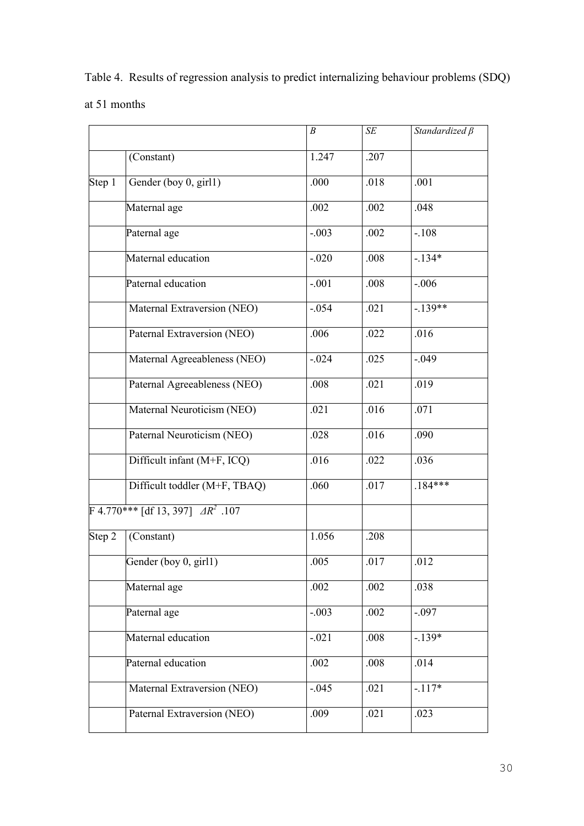Table 4. Results of regression analysis to predict internalizing behaviour problems (SDQ) at 51 months

|        |                                              | B        | SE   | Standardized $\beta$ |
|--------|----------------------------------------------|----------|------|----------------------|
|        | (Constant)                                   | 1.247    | .207 |                      |
| Step 1 | Gender (boy 0, girl1)                        | .000     | .018 | .001                 |
|        | Maternal age                                 | .002     | .002 | .048                 |
|        | Paternal age                                 | $-.003$  | .002 | $-.108$              |
|        | Maternal education                           | $-.020$  | .008 | $-134*$              |
|        | Paternal education                           | $-.001$  | .008 | $-.006$              |
|        | Maternal Extraversion (NEO)                  | $-.054$  | .021 | $-139**$             |
|        | Paternal Extraversion (NEO)                  | .006     | .022 | .016                 |
|        | Maternal Agreeableness (NEO)                 | $-.024$  | .025 | $-0.049$             |
|        | Paternal Agreeableness (NEO)                 | .008     | .021 | .019                 |
|        | Maternal Neuroticism (NEO)                   | .021     | .016 | .071                 |
|        | Paternal Neuroticism (NEO)                   | .028     | .016 | .090                 |
|        | Difficult infant (M+F, ICQ)                  | .016     | .022 | .036                 |
|        | Difficult toddler (M+F, TBAQ)                | .060     | .017 | $.184***$            |
|        | $F\,4.770***$ [df 13, 397] $\Delta R^2$ .107 |          |      |                      |
| Step 2 | (Constant)                                   | 1.056    | .208 |                      |
|        | Gender (boy 0, girl1)                        | .005     | .017 | .012                 |
|        | Maternal age                                 | .002     | .002 | .038                 |
|        | Paternal age                                 | $-.003$  | .002 | $-.097$              |
|        | Maternal education                           | $-.021$  | .008 | $-139*$              |
|        | Paternal education                           | .002     | .008 | .014                 |
|        | Maternal Extraversion (NEO)                  | $-0.045$ | .021 | $-117*$              |
|        | Paternal Extraversion (NEO)                  | .009     | .021 | .023                 |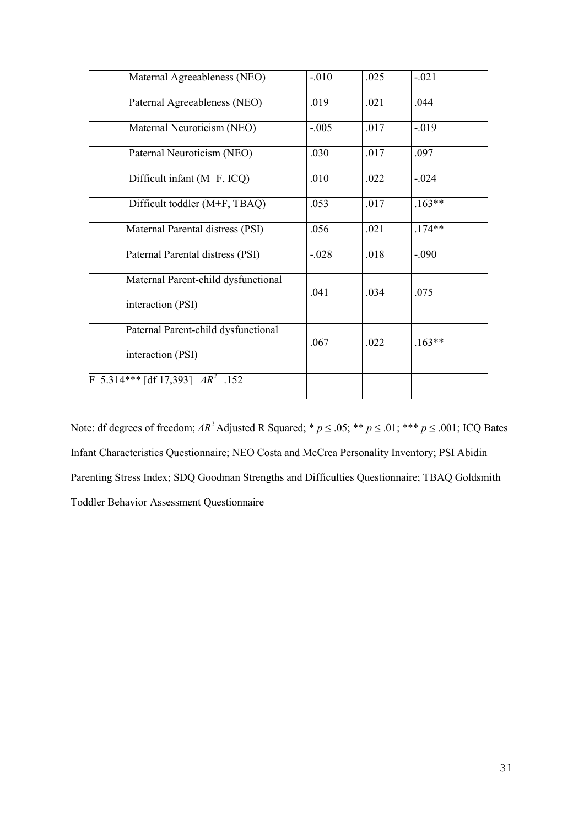| Maternal Agreeableness (NEO)                             | $-0.010$ | .025 | $-.021$  |
|----------------------------------------------------------|----------|------|----------|
| Paternal Agreeableness (NEO)                             | .019     | .021 | .044     |
| Maternal Neuroticism (NEO)                               | $-.005$  | .017 | $-0.019$ |
| Paternal Neuroticism (NEO)                               | .030     | .017 | .097     |
| Difficult infant (M+F, ICQ)                              | .010     | .022 | $-0.024$ |
| Difficult toddler (M+F, TBAQ)                            | .053     | .017 | $.163**$ |
| Maternal Parental distress (PSI)                         | .056     | .021 | $.174**$ |
| Paternal Parental distress (PSI)                         | $-.028$  | .018 | $-.090$  |
| Maternal Parent-child dysfunctional<br>interaction (PSI) | .041     | .034 | .075     |
| Paternal Parent-child dysfunctional<br>interaction (PSI) | .067     | .022 | $.163**$ |
| F 5.314*** [df 17,393] $\Delta R^2$ .152                 |          |      |          |

Note: df degrees of freedom; *ΔR<sup>2</sup>*Adjusted R Squared; \* *p* ≤ .05; \*\* *p* ≤ .01; \*\*\* *p* ≤ .001; ICQ Bates Infant Characteristics Questionnaire; NEO Costa and McCrea Personality Inventory; PSI Abidin Parenting Stress Index; SDQ Goodman Strengths and Difficulties Questionnaire; TBAQ Goldsmith Toddler Behavior Assessment Questionnaire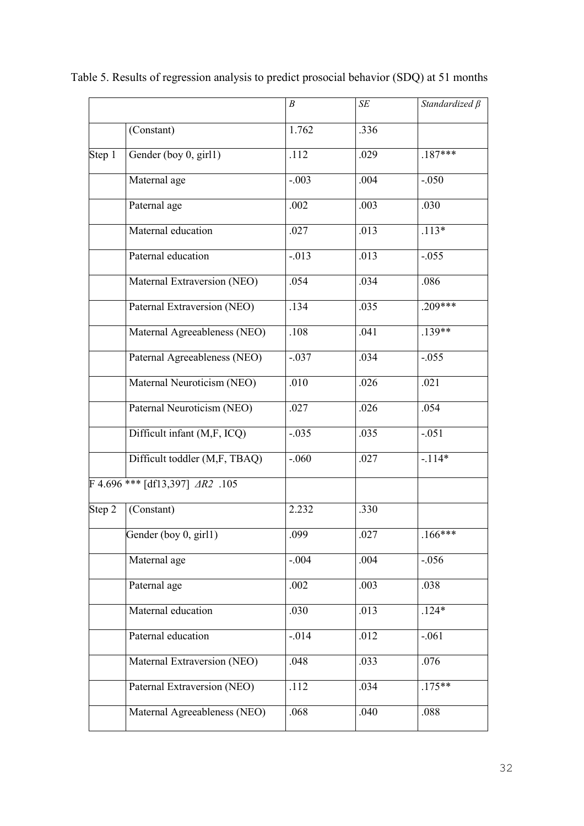|        |                                            | $\boldsymbol{B}$ | $\cal SE$ | Standardized $\beta$ |
|--------|--------------------------------------------|------------------|-----------|----------------------|
|        | (Constant)                                 | 1.762            | .336      |                      |
| Step 1 | Gender (boy 0, girl1)                      | .112             | .029      | $.187***$            |
|        | Maternal age                               | $-.003$          | .004      | $-.050$              |
|        | Paternal age                               | .002             | .003      | .030                 |
|        | Maternal education                         | .027             | .013      | $.113*$              |
|        | Paternal education                         | $-0.013$         | .013      | $-.055$              |
|        | Maternal Extraversion (NEO)                | .054             | .034      | .086                 |
|        | Paternal Extraversion (NEO)                | .134             | .035      | $.209***$            |
|        | Maternal Agreeableness (NEO)               | .108             | .041      | $.139**$             |
|        | Paternal Agreeableness (NEO)               | $-.037$          | .034      | $-.055$              |
|        | Maternal Neuroticism (NEO)                 | .010             | .026      | .021                 |
|        | Paternal Neuroticism (NEO)                 | .027             | .026      | .054                 |
|        | Difficult infant (M,F, ICQ)                | $-.035$          | .035      | $-.051$              |
|        | Difficult toddler (M,F, TBAQ)              | $-.060$          | .027      | $-114*$              |
|        | F 4.696 *** [df13,397] $\triangle A2$ .105 |                  |           |                      |
| Step 2 | (Constant)                                 | 2.232            | .330      |                      |
|        | Gender (boy 0, girl1)                      | .099             | .027      | $.166***$            |
|        | Maternal age                               | $-.004$          | .004      | $-.056$              |
|        | Paternal age                               | .002             | .003      | .038                 |
|        | Maternal education                         | .030             | .013      | $.124*$              |
|        | Paternal education                         | $-0.014$         | .012      | $-.061$              |
|        | Maternal Extraversion (NEO)                | .048             | .033      | .076                 |
|        | Paternal Extraversion (NEO)                | .112             | .034      | $.175**$             |
|        | Maternal Agreeableness (NEO)               | .068             | .040      | .088                 |
|        |                                            |                  |           |                      |

Table 5. Results of regression analysis to predict prosocial behavior (SDQ) at 51 months